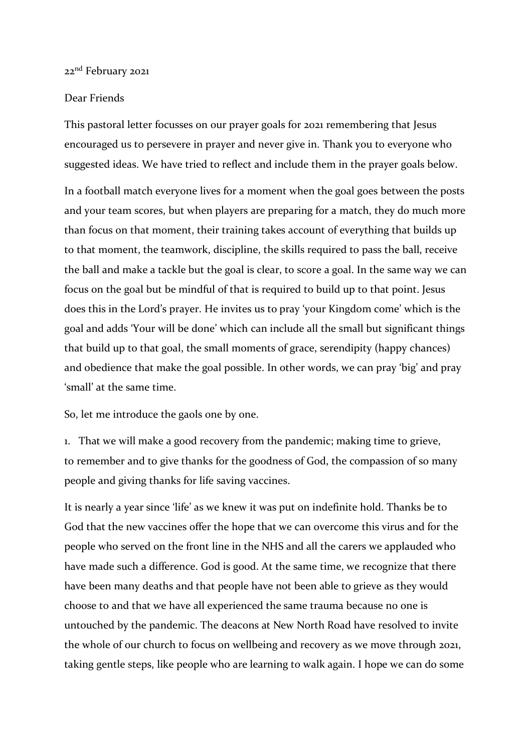## 22<sup>nd</sup> February 2021

## Dear Friends

This pastoral letter focusses on our prayer goals for 2021 remembering that Jesus encouraged us to persevere in prayer and never give in. Thank you to everyone who suggested ideas. We have tried to reflect and include them in the prayer goals below.

In a football match everyone lives for a moment when the goal goes between the posts and your team scores, but when players are preparing for a match, they do much more than focus on that moment, their training takes account of everything that builds up to that moment, the teamwork, discipline, the skills required to pass the ball, receive the ball and make a tackle but the goal is clear, to score a goal. In the same way we can focus on the goal but be mindful of that is required to build up to that point. Jesus does this in the Lord's prayer. He invites us to pray 'your Kingdom come' which is the goal and adds 'Your will be done' which can include all the small but significant things that build up to that goal, the small moments of grace, serendipity (happy chances) and obedience that make the goal possible. In other words, we can pray 'big' and pray 'small' at the same time.

So, let me introduce the gaols one by one.

1. That we will make a good recovery from the pandemic; making time to grieve, to remember and to give thanks for the goodness of God, the compassion of so many people and giving thanks for life saving vaccines.

It is nearly a year since 'life' as we knew it was put on indefinite hold. Thanks be to God that the new vaccines offer the hope that we can overcome this virus and for the people who served on the front line in the NHS and all the carers we applauded who have made such a difference. God is good. At the same time, we recognize that there have been many deaths and that people have not been able to grieve as they would choose to and that we have all experienced the same trauma because no one is untouched by the pandemic. The deacons at New North Road have resolved to invite the whole of our church to focus on wellbeing and recovery as we move through 2021, taking gentle steps, like people who are learning to walk again. I hope we can do some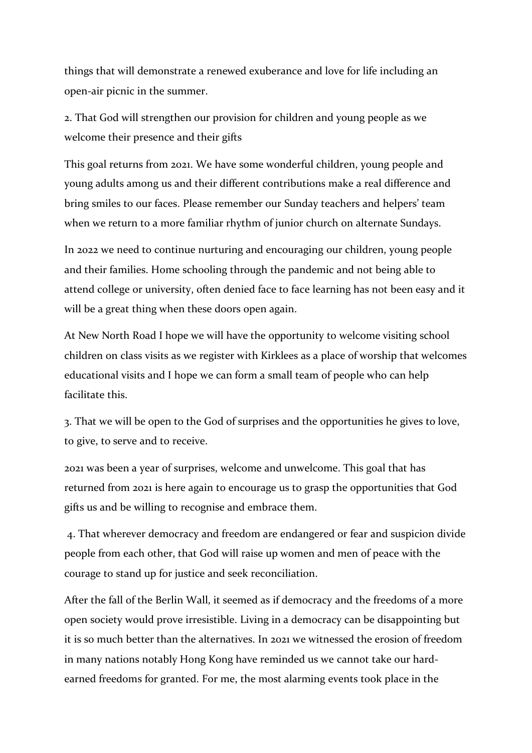things that will demonstrate a renewed exuberance and love for life including an open-air picnic in the summer.

2. That God will strengthen our provision for children and young people as we welcome their presence and their gifts

This goal returns from 2021. We have some wonderful children, young people and young adults among us and their different contributions make a real difference and bring smiles to our faces. Please remember our Sunday teachers and helpers' team when we return to a more familiar rhythm of junior church on alternate Sundays.

In 2022 we need to continue nurturing and encouraging our children, young people and their families. Home schooling through the pandemic and not being able to attend college or university, often denied face to face learning has not been easy and it will be a great thing when these doors open again.

At New North Road I hope we will have the opportunity to welcome visiting school children on class visits as we register with Kirklees as a place of worship that welcomes educational visits and I hope we can form a small team of people who can help facilitate this.

3. That we will be open to the God of surprises and the opportunities he gives to love, to give, to serve and to receive.

2021 was been a year of surprises, welcome and unwelcome. This goal that has returned from 2021 is here again to encourage us to grasp the opportunities that God gifts us and be willing to recognise and embrace them.

4. That wherever democracy and freedom are endangered or fear and suspicion divide people from each other, that God will raise up women and men of peace with the courage to stand up for justice and seek reconciliation.

After the fall of the Berlin Wall, it seemed as if democracy and the freedoms of a more open society would prove irresistible. Living in a democracy can be disappointing but it is so much better than the alternatives. In 2021 we witnessed the erosion of freedom in many nations notably Hong Kong have reminded us we cannot take our hardearned freedoms for granted. For me, the most alarming events took place in the